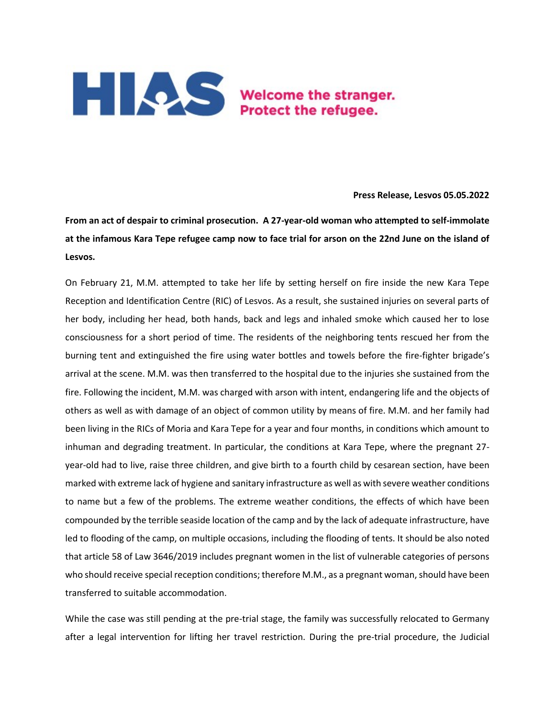

## **Press Release, Lesvos 05.05.2022**

**From an act of despair to criminal prosecution. A 27-year-old woman who attempted to self-immolate at the infamous Kara Tepe refugee camp now to face trial for arson on the 22nd June on the island of Lesvos.** 

On February 21, M.M. attempted to take her life by setting herself on fire inside the new Kara Tepe Reception and Identification Centre (RIC) of Lesvos. As a result, she sustained injuries on several parts of her body, including her head, both hands, back and legs and inhaled smoke which caused her to lose consciousness for a short period of time. The residents of the neighboring tents rescued her from the burning tent and extinguished the fire using water bottles and towels before the fire-fighter brigade's arrival at the scene. M.M. was then transferred to the hospital due to the injuries she sustained from the fire. Following the incident, M.M. was charged with arson with intent, endangering life and the objects of others as well as with damage of an object of common utility by means of fire. M.M. and her family had been living in the RICs of Moria and Kara Tepe for a year and four months, in conditions which amount to inhuman and degrading treatment. In particular, the conditions at Kara Tepe, where the pregnant 27 year-old had to live, raise three children, and give birth to a fourth child by cesarean section, have been marked with extreme lack of hygiene and sanitary infrastructure as well as with severe weather conditions to name but a few of the problems. The extreme weather conditions, the effects of which have been compounded by the terrible seaside location of the camp and by the lack of adequate infrastructure, have led to flooding of the camp, on multiple occasions, including the flooding of tents. It should be also noted that article 58 of Law 3646/2019 includes pregnant women in the list of vulnerable categories of persons who should receive special reception conditions; therefore M.M., as a pregnant woman, should have been transferred to suitable accommodation.

While the case was still pending at the pre-trial stage, the family was successfully relocated to Germany after a legal intervention for lifting her travel restriction. During the pre-trial procedure, the Judicial